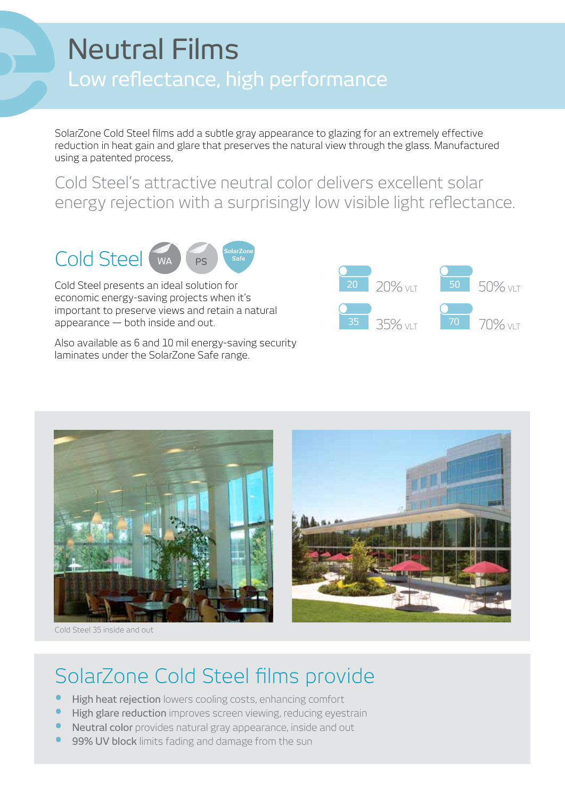## **Neutral Films**

Low reflectance, high performance

SolarZone Cold Steel films add a subtle gray appearance to glazing for an extremely effective reduction in heat gain and glare that preserves the natural view through the glass. Manufactured using a patented process,

Cold Steel's attractive neutral color delivers excellent solar energy rejection with a surprisingly low visible light reflectance.



Cold Steel presents an ideal solution for economic energy-saving projects when it's important to preserve views and retain a natural  $appearance - both inside and out.$ 

Also available as 6 and 10 mil energy-saving security laminates under the SolarZone Safe range.





Cold Steel 35 inside and out

## SolarZone Cold Steel films provide

- **High heat rejection** lowers cooling costs, enhancing comfort
- **e** High glare reduction improves screen viewing, reducing evestrain
- Neutral color provides natural gray appearance, inside and out
- 99% UV block limits fading and damage from the sun